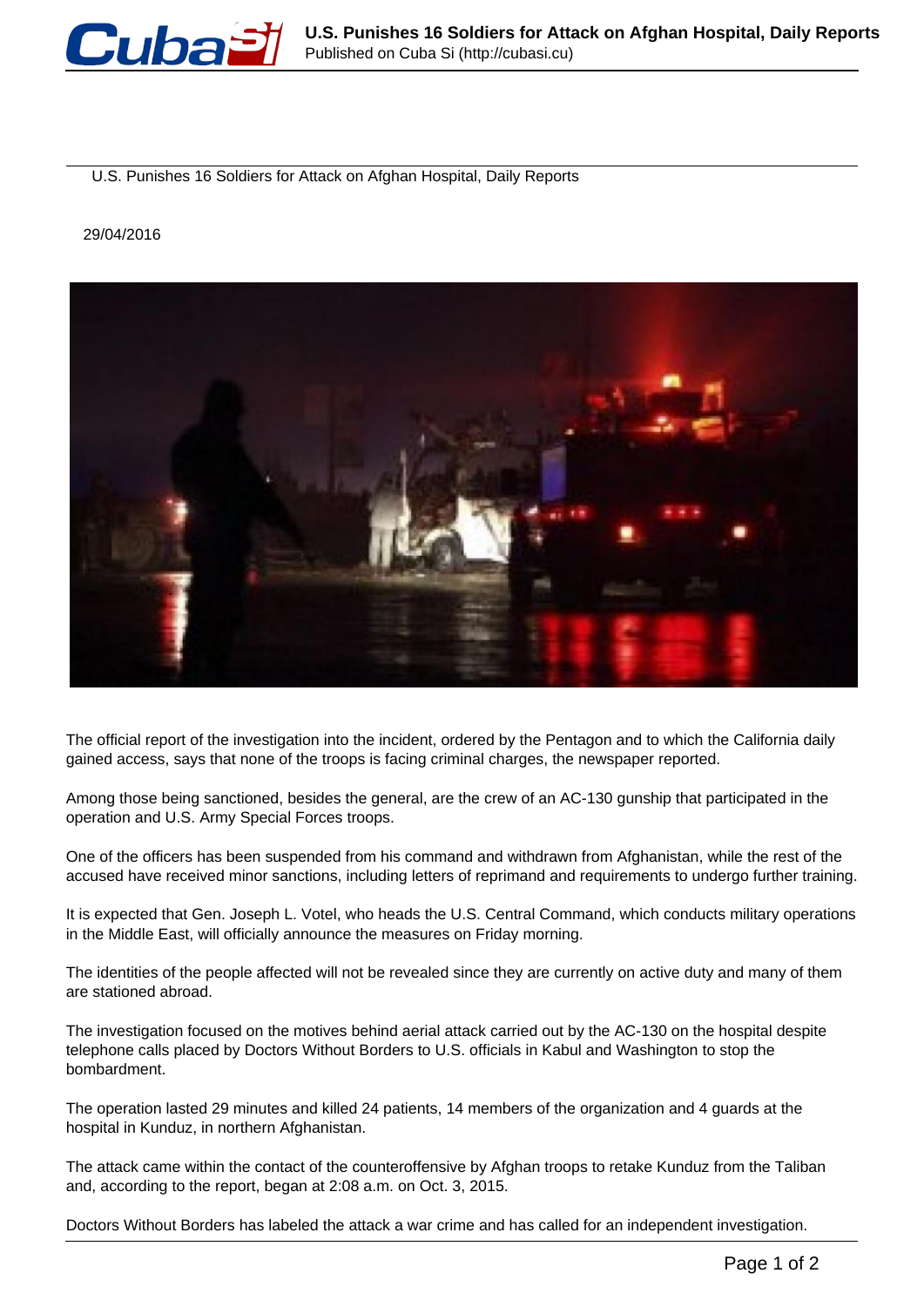

U.S. Punishes 16 Soldiers for Attack on Afghan Hospital, Daily Reports

## 29/04/2016



The official report of the investigation into the incident, ordered by the Pentagon and to which the California daily gained access, says that none of the troops is facing criminal charges, the newspaper reported.

Among those being sanctioned, besides the general, are the crew of an AC-130 gunship that participated in the operation and U.S. Army Special Forces troops.

One of the officers has been suspended from his command and withdrawn from Afghanistan, while the rest of the accused have received minor sanctions, including letters of reprimand and requirements to undergo further training.

It is expected that Gen. Joseph L. Votel, who heads the U.S. Central Command, which conducts military operations in the Middle East, will officially announce the measures on Friday morning.

The identities of the people affected will not be revealed since they are currently on active duty and many of them are stationed abroad.

The investigation focused on the motives behind aerial attack carried out by the AC-130 on the hospital despite telephone calls placed by Doctors Without Borders to U.S. officials in Kabul and Washington to stop the bombardment.

The operation lasted 29 minutes and killed 24 patients, 14 members of the organization and 4 guards at the hospital in Kunduz, in northern Afghanistan.

The attack came within the contact of the counteroffensive by Afghan troops to retake Kunduz from the Taliban and, according to the report, began at 2:08 a.m. on Oct. 3, 2015.

Doctors Without Borders has labeled the attack a war crime and has called for an independent investigation.